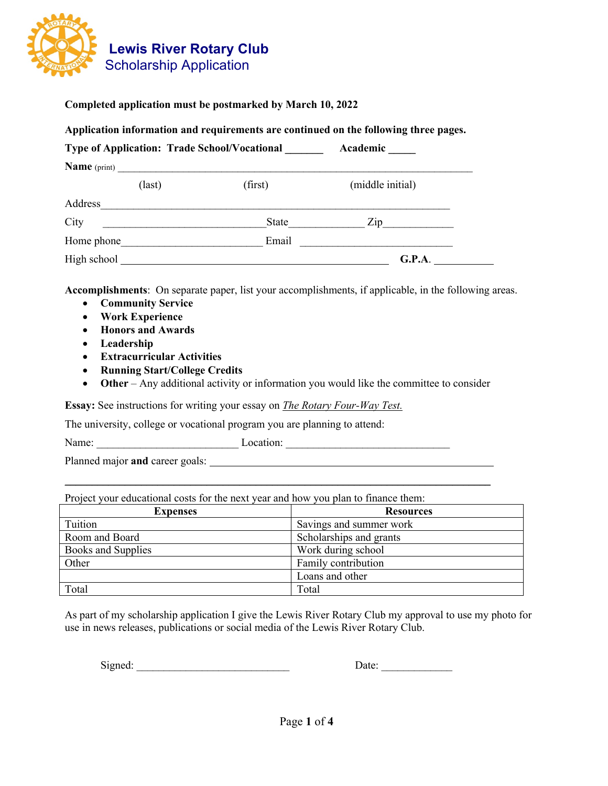

## **Completed application must be postmarked by March 10, 2022**

#### **Application information and requirements are continued on the following three pages.**

| <b>Type of Application: Trade School/Vocational</b><br>Academic<br><b>Name</b> (print) |  |       |                                  |  |
|----------------------------------------------------------------------------------------|--|-------|----------------------------------|--|
|                                                                                        |  |       |                                  |  |
| Address                                                                                |  |       |                                  |  |
| City                                                                                   |  | State | $\mathop{\mathrm{Zip}}\nolimits$ |  |
| Home phone                                                                             |  | Email |                                  |  |
| High school                                                                            |  |       | G.P.A.                           |  |

**Accomplishments**: On separate paper, list your accomplishments, if applicable, in the following areas.

- **Community Service**
- **Work Experience**
- **Honors and Awards**
- **Leadership**
- **Extracurricular Activities**
- **Running Start/College Credits**
- **Other** Any additional activity or information you would like the committee to consider

**Essay:** See instructions for writing your essay on *The Rotary Four-Way Test.*

The university, college or vocational program you are planning to attend:

Name: \_\_\_\_\_\_\_\_\_\_\_\_\_\_\_\_\_\_\_\_\_\_\_\_\_\_ Location: \_\_\_\_\_\_\_\_\_\_\_\_\_\_\_\_\_\_\_\_\_\_\_\_\_\_\_\_\_\_

Planned major **and** career goals:

Project your educational costs for the next year and how you plan to finance them:

| <b>Expenses</b>    | <b>Resources</b>        |  |
|--------------------|-------------------------|--|
| Tuition            | Savings and summer work |  |
| Room and Board     | Scholarships and grants |  |
| Books and Supplies | Work during school      |  |
| Other              | Family contribution     |  |
|                    | Loans and other         |  |
| Total              | Total                   |  |

\_\_\_\_\_\_\_\_\_\_\_\_\_\_\_\_\_\_\_\_\_\_\_\_\_\_\_\_\_\_\_\_\_\_\_\_\_\_\_\_\_\_\_\_\_\_\_\_\_\_\_\_\_\_\_\_\_\_\_\_\_\_\_\_\_\_\_\_\_\_\_\_\_\_\_\_\_\_

As part of my scholarship application I give the Lewis River Rotary Club my approval to use my photo for use in news releases, publications or social media of the Lewis River Rotary Club.

Signed: \_\_\_\_\_\_\_\_\_\_\_\_\_\_\_\_\_\_\_\_\_\_\_\_\_\_\_\_ Date: \_\_\_\_\_\_\_\_\_\_\_\_\_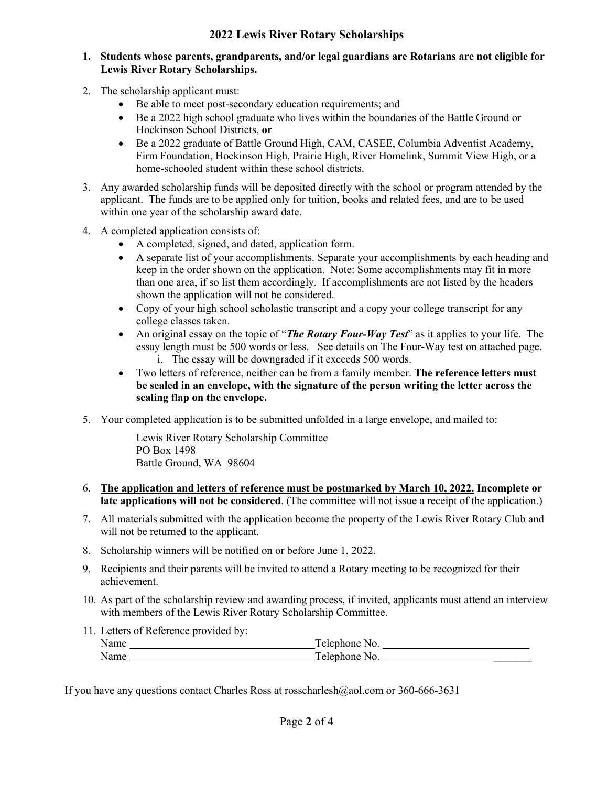#### **2022 Lewis River Rotary Scholarships**

#### **1. Students whose parents, grandparents, and/or legal guardians are Rotarians are not eligible for Lewis River Rotary Scholarships.**

- 2. The scholarship applicant must:
	- Be able to meet post-secondary education requirements; and
	- Be a 2022 high school graduate who lives within the boundaries of the Battle Ground or Hockinson School Districts, **or**
	- Be a 2022 graduate of Battle Ground High, CAM, CASEE, Columbia Adventist Academy, Firm Foundation, Hockinson High, Prairie High, River Homelink, Summit View High, or a home-schooled student within these school districts.
- 3. Any awarded scholarship funds will be deposited directly with the school or program attended by the applicant. The funds are to be applied only for tuition, books and related fees, and are to be used within one year of the scholarship award date.
- 4. A completed application consists of:
	- A completed, signed, and dated, application form.
	- A separate list of your accomplishments. Separate your accomplishments by each heading and keep in the order shown on the application. Note: Some accomplishments may fit in more than one area, if so list them accordingly. If accomplishments are not listed by the headers shown the application will not be considered.
	- Copy of your high school scholastic transcript and a copy your college transcript for any college classes taken.
	- An original essay on the topic of "*The Rotary Four-Way Test*" as it applies to your life. The essay length must be 500 words or less. See details on The Four-Way test on attached page. i. The essay will be downgraded if it exceeds 500 words.
	- Two letters of reference, neither can be from a family member. **The reference letters must be sealed in an envelope, with the signature of the person writing the letter across the sealing flap on the envelope.**
- 5. Your completed application is to be submitted unfolded in a large envelope, and mailed to:

Lewis River Rotary Scholarship Committee PO Box 1498 Battle Ground, WA 98604

- 6. **The application and letters of reference must be postmarked by March 10, 2022. Incomplete or late applications will not be considered**. (The committee will not issue a receipt of the application.)
- 7. All materials submitted with the application become the property of the Lewis River Rotary Club and will not be returned to the applicant.
- 8. Scholarship winners will be notified on or before June 1, 2022.
- 9. Recipients and their parents will be invited to attend a Rotary meeting to be recognized for their achievement.
- 10. As part of the scholarship review and awarding process, if invited, applicants must attend an interview with members of the Lewis River Rotary Scholarship Committee.
- 11. Letters of Reference provided by: Name Telephone No. Name Telephone No. \_\_\_\_\_\_\_

If you have any questions contact Charles Ross at rosscharlesh@aol.com or 360-666-3631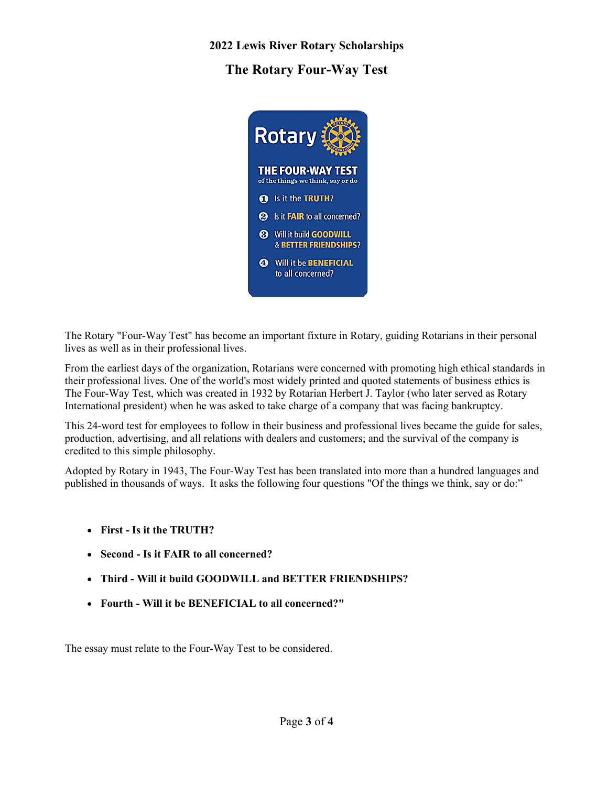## **2022 Lewis River Rotary Scholarships**

**The Rotary Four-Way Test**



The Rotary "Four-Way Test" has become an important fixture in Rotary, guiding Rotarians in their personal lives as well as in their professional lives.

From the earliest days of the organization, Rotarians were concerned with promoting high ethical standards in their professional lives. One of the world's most widely printed and quoted statements of business ethics is The Four-Way Test, which was created in 1932 by Rotarian Herbert J. Taylor (who later served as Rotary International president) when he was asked to take charge of a company that was facing bankruptcy.

This 24-word test for employees to follow in their business and professional lives became the guide for sales, production, advertising, and all relations with dealers and customers; and the survival of the company is credited to this simple philosophy.

Adopted by Rotary in 1943, The Four-Way Test has been translated into more than a hundred languages and published in thousands of ways. It asks the following four questions "Of the things we think, say or do:"

- **First - Is it the TRUTH?**
- **Second - Is it FAIR to all concerned?**
- **Third - Will it build GOODWILL and BETTER FRIENDSHIPS?**
- **Fourth - Will it be BENEFICIAL to all concerned?"**

The essay must relate to the Four-Way Test to be considered.